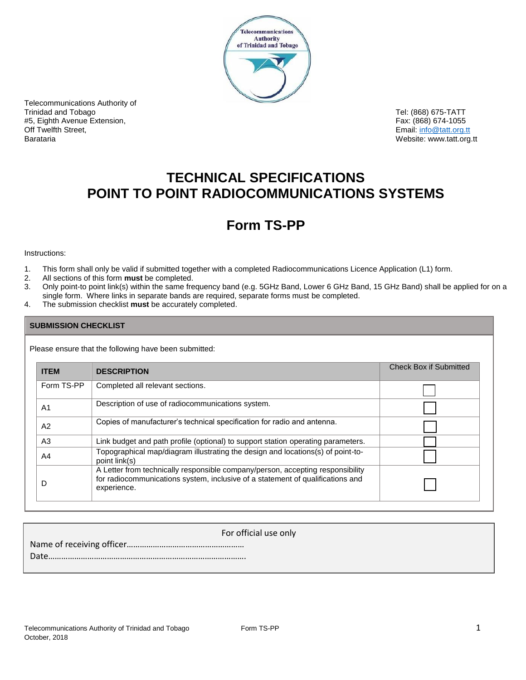

Telecommunications Authority of Trinidad and Tobago Tel: (868) 675-TATT #5, Eighth Avenue Extension, Fax: (868) 674-1055 Off Twelfth Street, Email: info@tatt.org.tt

Website: www.tatt.org.tt

# **TECHNICAL SPECIFICATIONS POINT TO POINT RADIOCOMMUNICATIONS SYSTEMS**

# **Form TS-PP**

Instructions:

- 1. This form shall only be valid if submitted together with a completed Radiocommunications Licence Application (L1) form.
- 2. All sections of this form **must** be completed.
- 3. Only point-to point link(s) within the same frequency band (e.g. 5GHz Band, Lower 6 GHz Band, 15 GHz Band) shall be applied for on a single form. Where links in separate bands are required, separate forms must be completed.
- 4. The submission checklist **must** be accurately completed.

## **SUBMISSION CHECKLIST**

Please ensure that the following have been submitted:

| <b>ITEM</b>    | <b>DESCRIPTION</b>                                                                                                                                                              | <b>Check Box if Submitted</b> |
|----------------|---------------------------------------------------------------------------------------------------------------------------------------------------------------------------------|-------------------------------|
| Form TS-PP     | Completed all relevant sections.                                                                                                                                                |                               |
| A <sub>1</sub> | Description of use of radiocommunications system.                                                                                                                               |                               |
| A2             | Copies of manufacturer's technical specification for radio and antenna.                                                                                                         |                               |
| A <sub>3</sub> | Link budget and path profile (optional) to support station operating parameters.                                                                                                |                               |
| A4             | Topographical map/diagram illustrating the design and locations(s) of point-to-<br>point link(s)                                                                                |                               |
| D              | A Letter from technically responsible company/person, accepting responsibility<br>for radiocommunications system, inclusive of a statement of qualifications and<br>experience. |                               |

| For official use only |
|-----------------------|
|                       |
|                       |
|                       |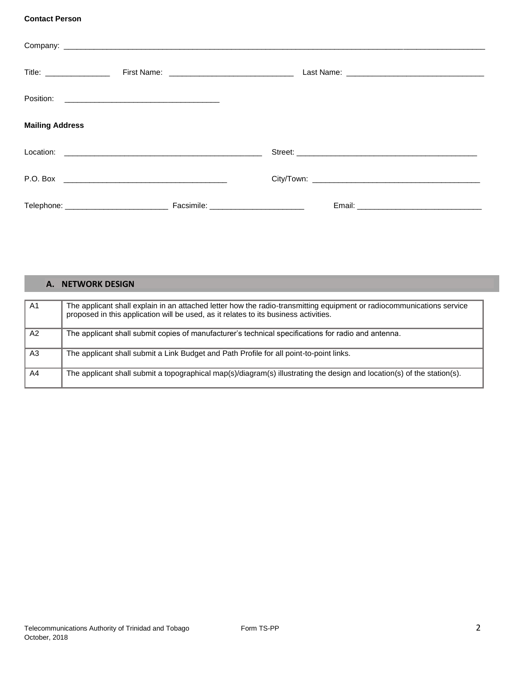### **Contact Person**

| Title: _________________ |  |
|--------------------------|--|
|                          |  |
|                          |  |
|                          |  |
| <b>Mailing Address</b>   |  |
|                          |  |
|                          |  |
|                          |  |
|                          |  |
|                          |  |

| А.             | <b>NETWORK DESIGN</b>                                                                                                                                                                                         |
|----------------|---------------------------------------------------------------------------------------------------------------------------------------------------------------------------------------------------------------|
| A <sub>1</sub> |                                                                                                                                                                                                               |
|                | The applicant shall explain in an attached letter how the radio-transmitting equipment or radiocommunications service<br>proposed in this application will be used, as it relates to its business activities. |
| A2             | The applicant shall submit copies of manufacturer's technical specifications for radio and antenna.                                                                                                           |
| A3             | The applicant shall submit a Link Budget and Path Profile for all point-to-point links.                                                                                                                       |
| A4             | The applicant shall submit a topographical map(s)/diagram(s) illustrating the design and location(s) of the station(s).                                                                                       |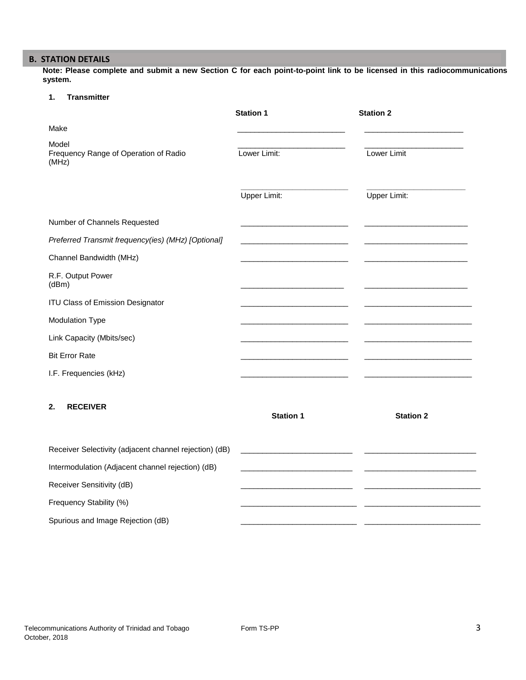# **B. STATION DETAILS**

**Note: Please complete and submit a new Section C for each point-to-point link to be licensed in this radiocommunications system.**

### **1. Transmitter**

|                                                         | <b>Station 1</b>                                            | <b>Station 2</b> |
|---------------------------------------------------------|-------------------------------------------------------------|------------------|
| Make                                                    |                                                             |                  |
| Model<br>Frequency Range of Operation of Radio<br>(MHz) | Lower Limit:                                                | Lower Limit      |
|                                                         | Upper Limit:                                                | Upper Limit:     |
| Number of Channels Requested                            |                                                             |                  |
| Preferred Transmit frequency(ies) (MHz) [Optional]      |                                                             |                  |
| Channel Bandwidth (MHz)                                 |                                                             |                  |
| R.F. Output Power<br>(dBm)                              |                                                             |                  |
| ITU Class of Emission Designator                        |                                                             |                  |
| <b>Modulation Type</b>                                  |                                                             |                  |
| Link Capacity (Mbits/sec)                               |                                                             |                  |
| <b>Bit Error Rate</b>                                   |                                                             |                  |
| I.F. Frequencies (kHz)                                  |                                                             |                  |
| <b>RECEIVER</b><br>2.                                   | <b>Station 1</b>                                            | <b>Station 2</b> |
| Receiver Selectivity (adjacent channel rejection) (dB)  | <u> 1989 - Johann Barbara, martxa al III-lea (h. 1974).</u> |                  |
| Intermodulation (Adjacent channel rejection) (dB)       |                                                             |                  |
| Receiver Sensitivity (dB)                               |                                                             |                  |
| Frequency Stability (%)                                 |                                                             |                  |
| Spurious and Image Rejection (dB)                       |                                                             |                  |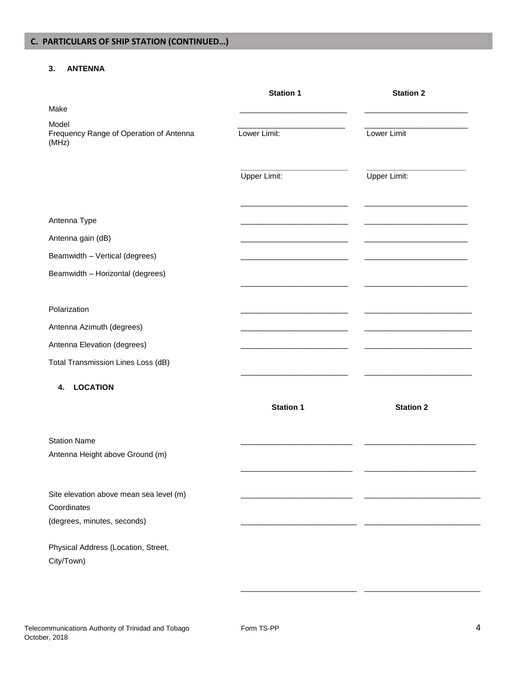## **3. ANTENNA**

|                                                           | <b>Station 1</b> | <b>Station 2</b> |
|-----------------------------------------------------------|------------------|------------------|
| Make                                                      |                  |                  |
| Model<br>Frequency Range of Operation of Antenna<br>(MHz) | Lower Limit:     | Lower Limit      |
|                                                           | Upper Limit:     | Upper Limit:     |
| Antenna Type                                              |                  |                  |
| Antenna gain (dB)                                         |                  |                  |
| Beamwidth - Vertical (degrees)                            |                  |                  |
| Beamwidth - Horizontal (degrees)                          |                  |                  |
| Polarization                                              |                  |                  |
| Antenna Azimuth (degrees)                                 |                  |                  |
| Antenna Elevation (degrees)                               |                  |                  |
|                                                           |                  |                  |
| Total Transmission Lines Loss (dB)                        |                  |                  |
| <b>LOCATION</b><br>4.                                     |                  |                  |
|                                                           | <b>Station 1</b> | <b>Station 2</b> |
| <b>Station Name</b><br>Antenna Height above Ground (m)    |                  |                  |
| Site elevation above mean sea level (m)                   |                  |                  |
| Coordinates                                               |                  |                  |
| (degrees, minutes, seconds)                               |                  |                  |
| Physical Address (Location, Street,<br>City/Town)         |                  |                  |

\_\_\_\_\_\_\_\_\_\_\_\_\_\_\_\_\_\_\_\_\_\_\_\_\_\_\_ \_\_\_\_\_\_\_\_\_\_\_\_\_\_\_\_\_\_\_\_\_\_\_\_\_\_\_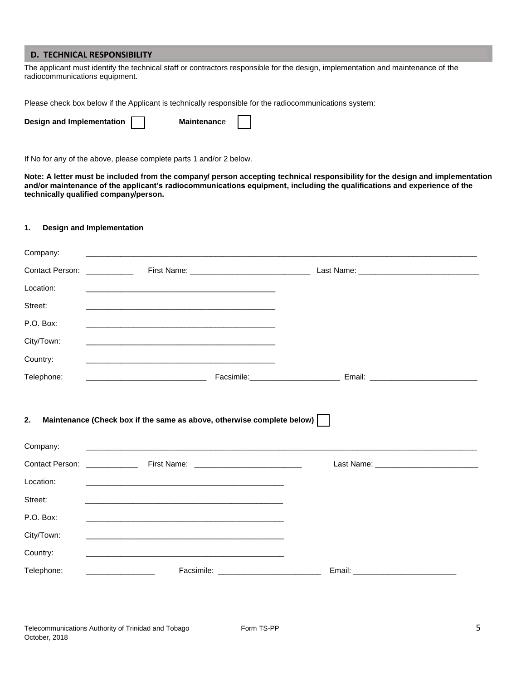#### **D. TECHNICAL RESPONSIBILITY**

The applicant must identify the technical staff or contractors responsible for the design, implementation and maintenance of the radiocommunications equipment.

Please check box below if the Applicant is technically responsible for the radiocommunications system:

| Design and Implementation | <b>Maintenance</b> |  |
|---------------------------|--------------------|--|
|---------------------------|--------------------|--|

If No for any of the above, please complete parts 1 and/or 2 below.

**Note: A letter must be included from the company/ person accepting technical responsibility for the design and implementation and/or maintenance of the applicant's radiocommunications equipment, including the qualifications and experience of the technically qualified company/person.**

#### **1. Design and Implementation**

| Location:      | <u> 1989 - Johann John Stein, markin fan it ferskearre fan it ferskearre fan it ferskearre fan it ferskearre fan</u> |                                                                                   |  |
|----------------|----------------------------------------------------------------------------------------------------------------------|-----------------------------------------------------------------------------------|--|
| Street:        | <u> 1989 - Johann Stoff, amerikansk politiker (d. 1989)</u>                                                          |                                                                                   |  |
| P.O. Box:      |                                                                                                                      |                                                                                   |  |
| City/Town:     |                                                                                                                      |                                                                                   |  |
| Country:       |                                                                                                                      |                                                                                   |  |
| Telephone:     | <u> 1980 - Johann Stein, marwolaethau a bhann an t-Amhair an t-Amhair an t-Amhair an t-Amhair an t-Amhair an t-A</u> | Facsimile: ___________________________________ Email: ___________________________ |  |
| 2.<br>Company: | Maintenance (Check box if the same as above, otherwise complete below)                                               |                                                                                   |  |
|                |                                                                                                                      |                                                                                   |  |
|                |                                                                                                                      |                                                                                   |  |
| Location:      | <u> 1989 - Andrea Stadt Britain, amerikansk politik (* 1908)</u>                                                     |                                                                                   |  |
| Street:        | and the control of the control of the control of the control of the control of the control of the control of the     |                                                                                   |  |
| P.O. Box:      | <u> 1989 - Johann John Stein, fransk politiker (d. 1989)</u>                                                         |                                                                                   |  |
| City/Town:     |                                                                                                                      |                                                                                   |  |
| Country:       |                                                                                                                      |                                                                                   |  |